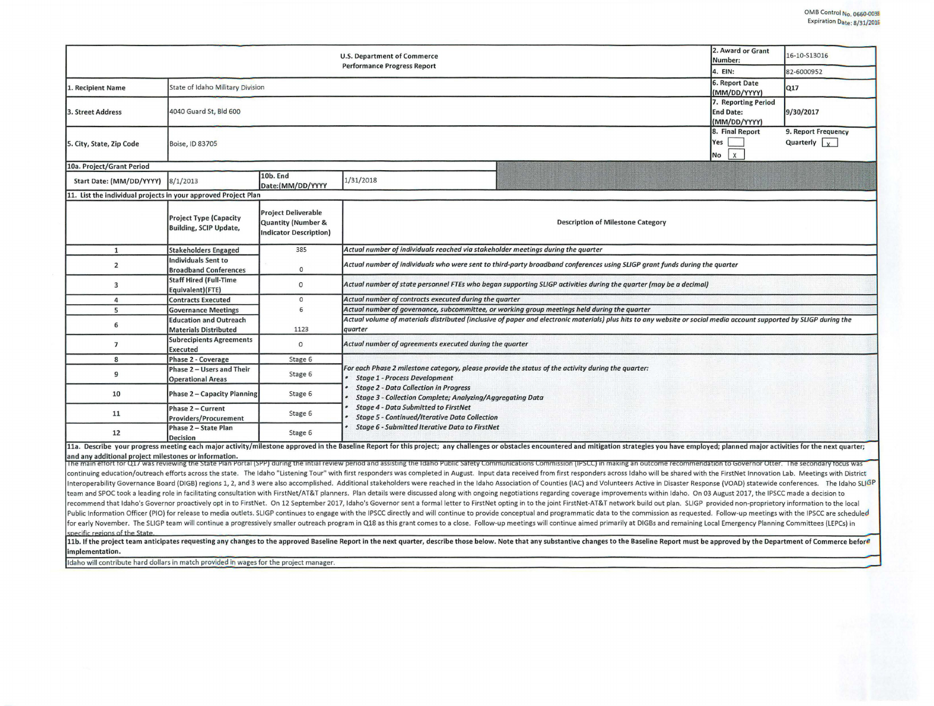|                                                                                                                                                                                                                                                                                                                                                                                                                                                                  |                                                                |                                                                                                                                        | <b>U.S. Department of Commerce</b><br><b>Performance Progress Report</b>                                                                                                                                                                                       | 2. Award or Grant<br>Number:<br>4. EIN:             | 16-10-S13016<br>82-6000952                       |  |  |  |  |  |
|------------------------------------------------------------------------------------------------------------------------------------------------------------------------------------------------------------------------------------------------------------------------------------------------------------------------------------------------------------------------------------------------------------------------------------------------------------------|----------------------------------------------------------------|----------------------------------------------------------------------------------------------------------------------------------------|----------------------------------------------------------------------------------------------------------------------------------------------------------------------------------------------------------------------------------------------------------------|-----------------------------------------------------|--------------------------------------------------|--|--|--|--|--|
| 1. Recipient Name                                                                                                                                                                                                                                                                                                                                                                                                                                                | State of Idaho Military Division                               | 6. Report Date<br>(MM/DD/YYYY)                                                                                                         | Q17                                                                                                                                                                                                                                                            |                                                     |                                                  |  |  |  |  |  |
| <b>3. Street Address</b>                                                                                                                                                                                                                                                                                                                                                                                                                                         | 4040 Guard St, Bld 600                                         | 7. Reporting Period<br><b>End Date:</b><br>(MM/DD/YYYY)                                                                                | 9/30/2017                                                                                                                                                                                                                                                      |                                                     |                                                  |  |  |  |  |  |
| 5. City, State, Zip Code                                                                                                                                                                                                                                                                                                                                                                                                                                         | Boise, ID 83705                                                |                                                                                                                                        |                                                                                                                                                                                                                                                                | 8. Final Report<br>Yes<br>$\mathsf{x}$<br><b>No</b> | 9. Report Frequency<br>Quarterly $\vert x \vert$ |  |  |  |  |  |
| 10a. Project/Grant Period                                                                                                                                                                                                                                                                                                                                                                                                                                        |                                                                |                                                                                                                                        |                                                                                                                                                                                                                                                                |                                                     |                                                  |  |  |  |  |  |
| Start Date: (MM/DD/YYYY)                                                                                                                                                                                                                                                                                                                                                                                                                                         | 8/1/2013                                                       | 10b. End<br>Date:(MM/DD/YYYY                                                                                                           | 1/31/2018                                                                                                                                                                                                                                                      |                                                     |                                                  |  |  |  |  |  |
| 11. List the individual projects in your approved Project Plan                                                                                                                                                                                                                                                                                                                                                                                                   |                                                                |                                                                                                                                        |                                                                                                                                                                                                                                                                |                                                     |                                                  |  |  |  |  |  |
|                                                                                                                                                                                                                                                                                                                                                                                                                                                                  | <b>Project Type (Capacity</b><br><b>Building, SCIP Update,</b> | <b>Project Deliverable</b><br><b>Quantity (Number &amp;</b><br><b>Indicator Description)</b>                                           | <b>Description of Milestone Category</b>                                                                                                                                                                                                                       |                                                     |                                                  |  |  |  |  |  |
| $\mathbf{1}$                                                                                                                                                                                                                                                                                                                                                                                                                                                     | <b>Stakeholders Engaged</b>                                    | Actual number of individuals reached via stakeholder meetings during the quarter<br>385                                                |                                                                                                                                                                                                                                                                |                                                     |                                                  |  |  |  |  |  |
| $\overline{2}$                                                                                                                                                                                                                                                                                                                                                                                                                                                   | <b>Individuals Sent to</b><br><b>Broadband Conferences</b>     | Actual number of individuals who were sent to third-party broadband conferences using SLIGP grant funds during the quarter<br>$\Omega$ |                                                                                                                                                                                                                                                                |                                                     |                                                  |  |  |  |  |  |
| $\overline{\mathbf{3}}$                                                                                                                                                                                                                                                                                                                                                                                                                                          | <b>Staff Hired (Full-Time</b><br>Equivalent)(FTE)              | $\circ$                                                                                                                                | Actual number of state personnel FTEs who began supporting SLIGP activities during the quarter (may be a decimal)                                                                                                                                              |                                                     |                                                  |  |  |  |  |  |
| $\overline{a}$                                                                                                                                                                                                                                                                                                                                                                                                                                                   | <b>Contracts Executed</b>                                      | Actual number of contracts executed during the quarter<br>$\circ$                                                                      |                                                                                                                                                                                                                                                                |                                                     |                                                  |  |  |  |  |  |
| 5                                                                                                                                                                                                                                                                                                                                                                                                                                                                | <b>Governance Meetings</b>                                     | 6                                                                                                                                      |                                                                                                                                                                                                                                                                |                                                     |                                                  |  |  |  |  |  |
| 6                                                                                                                                                                                                                                                                                                                                                                                                                                                                | <b>Education and Outreach</b><br><b>Materials Distributed</b>  | 1123                                                                                                                                   | Actual volume of materials distributed (inclusive of paper and electronic materials) plus hits to any website or social media account supported by SLIGP during the                                                                                            |                                                     |                                                  |  |  |  |  |  |
| $\overline{7}$                                                                                                                                                                                                                                                                                                                                                                                                                                                   | <b>Subrecipients Agreements</b><br><b>Executed</b>             | $\circ$                                                                                                                                | Actual number of agreements executed during the quarter                                                                                                                                                                                                        |                                                     |                                                  |  |  |  |  |  |
| 8                                                                                                                                                                                                                                                                                                                                                                                                                                                                | <b>Phase 2 - Coverage</b>                                      | Stage 6                                                                                                                                |                                                                                                                                                                                                                                                                |                                                     |                                                  |  |  |  |  |  |
| 9                                                                                                                                                                                                                                                                                                                                                                                                                                                                | Phase 2 - Users and Their<br><b>Operational Areas</b>          | Stage 6                                                                                                                                | For each Phase 2 milestone category, please provide the status of the activity during the quarter:<br><b>Stage 1 - Process Development</b><br><b>Stage 2 - Data Collection in Progress</b><br><b>Stage 3 - Collection Complete; Analyzing/Aggregating Data</b> |                                                     |                                                  |  |  |  |  |  |
| 10                                                                                                                                                                                                                                                                                                                                                                                                                                                               | <b>Phase 2 - Capacity Planning</b>                             | Stage 6                                                                                                                                |                                                                                                                                                                                                                                                                |                                                     |                                                  |  |  |  |  |  |
| 11                                                                                                                                                                                                                                                                                                                                                                                                                                                               | Phase 2 - Current<br>Providers/Procurement                     | Stage 6                                                                                                                                | <b>Stage 4 - Data Submitted to FirstNet</b><br><b>Stage 5 - Continued/Iterative Data Collection</b>                                                                                                                                                            |                                                     |                                                  |  |  |  |  |  |
| 12                                                                                                                                                                                                                                                                                                                                                                                                                                                               | Phase 2 - State Plan<br><b>Decision</b>                        | Stage 6                                                                                                                                | Stage 6 - Submitted Iterative Data to FirstNet                                                                                                                                                                                                                 |                                                     |                                                  |  |  |  |  |  |
| 11a. Describe your progress meeting each major activity/milestone approved in the Baseline Report for this project; any challenges or obstacles encountered and mitigation strategies you have employed; planned major activit                                                                                                                                                                                                                                   |                                                                |                                                                                                                                        |                                                                                                                                                                                                                                                                |                                                     |                                                  |  |  |  |  |  |
| and any additional project milestones or information.                                                                                                                                                                                                                                                                                                                                                                                                            |                                                                |                                                                                                                                        |                                                                                                                                                                                                                                                                |                                                     |                                                  |  |  |  |  |  |
| The main effort for Q1/ was reviewing the State Plan Portal (SPP) during the intial review period and assisting the Idaho Public Safety Communications Commission (IPSCC) in making an outcome recommendation to Governor Otte                                                                                                                                                                                                                                   |                                                                |                                                                                                                                        |                                                                                                                                                                                                                                                                |                                                     |                                                  |  |  |  |  |  |
| continuing education/outreach efforts across the state. The Idaho "Listening Tour" with first responders was completed in August. Input data received from first responders across Idaho will be shared with the FirstNet Inno<br>Interoperability Governance Board (DIGB) regions 1, 2, and 3 were also accomplished. Additional stakeholders were reached in the Idaho Association of Counties (IAC) and Volunteers Active in Disaster Response (VOAD) statewi |                                                                |                                                                                                                                        |                                                                                                                                                                                                                                                                |                                                     |                                                  |  |  |  |  |  |
| team and SPOC took a leading role in facilitating consultation with FirstNet/AT&T planners. Plan details were discussed along with ongoing negotiations regarding coverage improvements within Idaho. On 03 August 2017, the I                                                                                                                                                                                                                                   |                                                                |                                                                                                                                        |                                                                                                                                                                                                                                                                |                                                     |                                                  |  |  |  |  |  |
| recommend that Idaho's Governor proactively opt in to FirstNet. On 12 September 2017, Idaho's Governor sent a formal letter to FirstNet opting in to the joint FirstNet-AT&T network build out plan. SLIGP provided non-propri                                                                                                                                                                                                                                   |                                                                |                                                                                                                                        |                                                                                                                                                                                                                                                                |                                                     |                                                  |  |  |  |  |  |
| Public Information Officer (PIO) for release to media outlets. SLIGP continues to engage with the IPSCC directly and will continue to provide conceptual and programmatic data to the commission as requested. Follow-up meeti                                                                                                                                                                                                                                   |                                                                |                                                                                                                                        |                                                                                                                                                                                                                                                                |                                                     |                                                  |  |  |  |  |  |
| for early November. The SLIGP team will continue a progressively smaller outreach program in Q18 as this grant comes to a close. Follow-up meetings will continue aimed primarily at DIGBs and remaining Local Emergency Plann                                                                                                                                                                                                                                   |                                                                |                                                                                                                                        |                                                                                                                                                                                                                                                                |                                                     |                                                  |  |  |  |  |  |
| specific regions of the State                                                                                                                                                                                                                                                                                                                                                                                                                                    |                                                                |                                                                                                                                        |                                                                                                                                                                                                                                                                |                                                     |                                                  |  |  |  |  |  |
| 11b. If the project team anticipates requesting any changes to the approved Baseline Report in the next quarter, describe those below. Note that any substantive changes to the Baseline Report must be approved by the Depart                                                                                                                                                                                                                                   |                                                                |                                                                                                                                        |                                                                                                                                                                                                                                                                |                                                     |                                                  |  |  |  |  |  |
| implementation.                                                                                                                                                                                                                                                                                                                                                                                                                                                  |                                                                |                                                                                                                                        |                                                                                                                                                                                                                                                                |                                                     |                                                  |  |  |  |  |  |
|                                                                                                                                                                                                                                                                                                                                                                                                                                                                  |                                                                |                                                                                                                                        |                                                                                                                                                                                                                                                                |                                                     |                                                  |  |  |  |  |  |

Idaho will contribute hard dollars in match provided in wages for the project manager.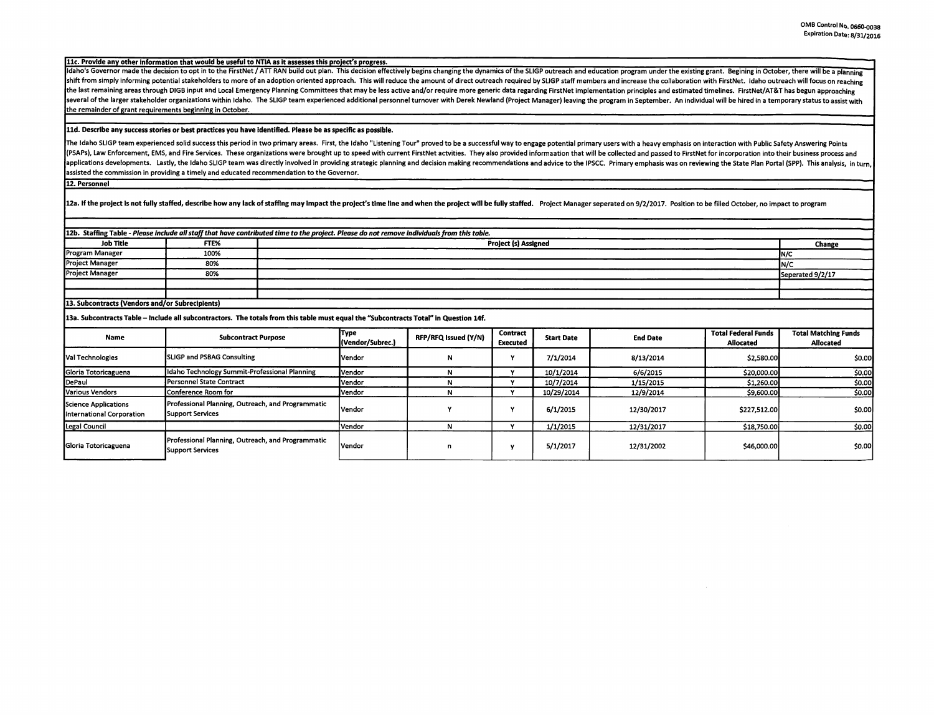llc. Provide any other Information that would be useful to NTIA as it assesses this proJect's progress.

Idaho's Governor made the decision to opt in to the FirstNet / ATT RAN build out plan. This decision effectively begins changing the dynamics of the SLIGP outreach and education program under the existing grant. Begining i shift from simply informing potential stakeholders to more of an adoption oriented approach. This will reduce the amount of direct outreach required by SLIGP staff members and increase the collaboration with FirstNet. Idah the last remaining areas through DIGB input and Local Emergency Planning Committees that may be less active and/or require more generic data regarding FirstNet implementation principles and estimated timelines. FirstNet/AT several of the larger stakeholder organizations within Idaho. The SLIGP team experienced additional personnel turnover with Derek Newland (Project Manager) leaving the program in September. An individual will be hired in a the remainder of grant requirements beginning in October.

## **lld. Describe any success stories or best practices you have Identified. Please be as specific as possible.**

The Idaho SLIGP team experienced solid success this period in two primary areas. First, the Idaho "Listening Tour" proved to be a successful way to engage potential primary users with a heavy emphasis on interaction with P (PSAPs), Law Enforcement, EMS, and Fire Services. These organizations were brought up to speed with current FirstNet actvities. They also provided informaation that will be collected and passed to FirstNet for incorporatio applications developments. Lastly, the Idaho SLIGP team was directly involved in providing strategic planning and decision making recommendations and advice to the IPSCC. Primary emphasis was on reviewing the State Plan Po assisted the commission in providing a timely and educated recommendation to the Governor.

12. **Personnel** 

12a. If the project is not fully staffed, describe how any lack of staffing may impact the project's time line and when the project will be fully staffed. Project Manager seperated on 9/2/2017. Position to be filled Octobe

| 12b. Staffing Table - Please include all staff that have contributed time to the project. Please do not remove individuals from this table. |                                                                              |                             |                          |                      |                          |                   |                 |                                                |                                          |
|---------------------------------------------------------------------------------------------------------------------------------------------|------------------------------------------------------------------------------|-----------------------------|--------------------------|----------------------|--------------------------|-------------------|-----------------|------------------------------------------------|------------------------------------------|
| Job Title                                                                                                                                   | FTE%                                                                         | <b>Project (s) Assigned</b> |                          |                      |                          |                   | Change          |                                                |                                          |
| Program Manager                                                                                                                             | 100%                                                                         |                             |                          |                      |                          |                   |                 | IN/C                                           |                                          |
| <b>Project Manager</b>                                                                                                                      | 80%                                                                          |                             | N/C                      |                      |                          |                   |                 |                                                |                                          |
| <b>Project Manager</b>                                                                                                                      | 80%                                                                          |                             |                          |                      |                          |                   |                 |                                                | Seperated 9/2/17                         |
|                                                                                                                                             |                                                                              |                             |                          |                      |                          |                   |                 |                                                |                                          |
|                                                                                                                                             |                                                                              |                             |                          |                      |                          |                   |                 |                                                |                                          |
| 13. Subcontracts (Vendors and/or Subrecipients)                                                                                             |                                                                              |                             |                          |                      |                          |                   |                 |                                                |                                          |
| 13a. Subcontracts Table - Include all subcontractors. The totals from this table must equal the "Subcontracts Total" in Question 14f.       |                                                                              |                             |                          |                      |                          |                   |                 |                                                |                                          |
| <b>Name</b>                                                                                                                                 | <b>Subcontract Purpose</b>                                                   |                             | Туре<br>(Vendor/Subrec.) | RFP/RFQ Issued (Y/N) | Contract<br>Executed     | <b>Start Date</b> | <b>End Date</b> | <b>Total Federal Funds</b><br><b>Allocated</b> | <b>Total Matching Funds</b><br>Allocated |
| Val Technologies                                                                                                                            | <b>SLIGP and PSBAG Consulting</b>                                            |                             | Vendor                   | N                    |                          | 7/1/2014          | 8/13/2014       | \$2,580.00                                     | \$0.00                                   |
| Gloria Totoricaguena                                                                                                                        | Idaho Technology Summit-Professional Planning                                |                             | Vendor                   | N                    | $\ddot{\phantom{0}}$     | 10/1/2014         | 6/6/2015        | \$20,000.00                                    | \$0.00                                   |
| DePaul                                                                                                                                      | Personnel State Contract                                                     |                             | Vendor                   | N                    |                          | 10/7/2014         | 1/15/2015       | \$1,260.00                                     | \$0.00                                   |
| Various Vendors                                                                                                                             | Conference Room for                                                          |                             | Vendor                   | N                    |                          | 10/29/2014        | 12/9/2014       | \$9,600.00                                     | \$0.00                                   |
| Science Applications<br>International Corporation                                                                                           | Professional Planning, Outreach, and Programmatic<br>Support Services        |                             | <b>Vendor</b>            |                      |                          | 6/1/2015          | 12/30/2017      | \$227,512.00                                   | so.ool                                   |
| Legal Council                                                                                                                               |                                                                              |                             | Vendor                   | N                    | $\overline{\phantom{a}}$ | 1/1/2015          | 12/31/2017      | \$18,750.00                                    | \$0.00                                   |
| Gloria Totoricaguena                                                                                                                        | Professional Planning, Outreach, and Programmatic<br><b>Support Services</b> |                             | <b>Vendor</b>            | n                    |                          | 5/1/2017          | 12/31/2002      | \$46,000.00                                    | \$0.00                                   |